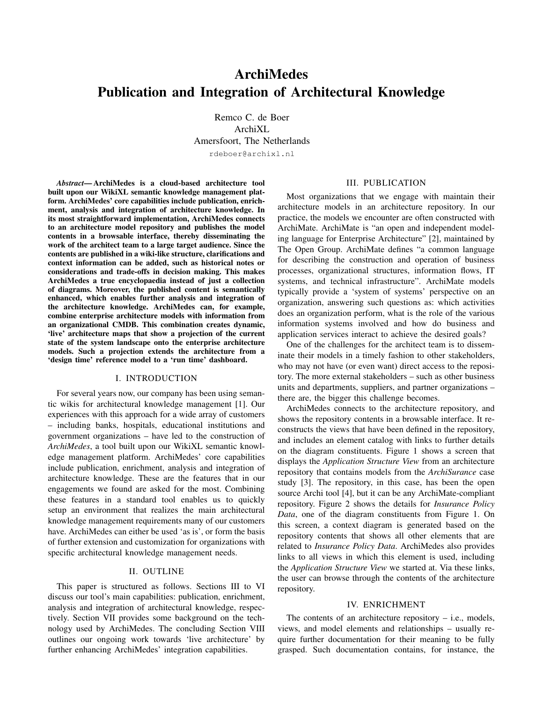# ArchiMedes Publication and Integration of Architectural Knowledge

Remco C. de Boer ArchiXL Amersfoort, The Netherlands rdeboer@archixl.nl

*Abstract*— ArchiMedes is a cloud-based architecture tool built upon our WikiXL semantic knowledge management platform. ArchiMedes' core capabilities include publication, enrichment, analysis and integration of architecture knowledge. In its most straightforward implementation, ArchiMedes connects to an architecture model repository and publishes the model contents in a browsable interface, thereby disseminating the work of the architect team to a large target audience. Since the contents are published in a wiki-like structure, clarifications and context information can be added, such as historical notes or considerations and trade-offs in decision making. This makes ArchiMedes a true encyclopaedia instead of just a collection of diagrams. Moreover, the published content is semantically enhanced, which enables further analysis and integration of the architecture knowledge. ArchiMedes can, for example, combine enterprise architecture models with information from an organizational CMDB. This combination creates dynamic, 'live' architecture maps that show a projection of the current state of the system landscape onto the enterprise architecture models. Such a projection extends the architecture from a 'design time' reference model to a 'run time' dashboard.

# I. INTRODUCTION

For several years now, our company has been using semantic wikis for architectural knowledge management [1]. Our experiences with this approach for a wide array of customers – including banks, hospitals, educational institutions and government organizations – have led to the construction of *ArchiMedes*, a tool built upon our WikiXL semantic knowledge management platform. ArchiMedes' core capabilities include publication, enrichment, analysis and integration of architecture knowledge. These are the features that in our engagements we found are asked for the most. Combining these features in a standard tool enables us to quickly setup an environment that realizes the main architectural knowledge management requirements many of our customers have. ArchiMedes can either be used 'as is', or form the basis of further extension and customization for organizations with specific architectural knowledge management needs.

# II. OUTLINE

This paper is structured as follows. Sections III to VI discuss our tool's main capabilities: publication, enrichment, analysis and integration of architectural knowledge, respectively. Section VII provides some background on the technology used by ArchiMedes. The concluding Section VIII outlines our ongoing work towards 'live architecture' by further enhancing ArchiMedes' integration capabilities.

# III. PUBLICATION

Most organizations that we engage with maintain their architecture models in an architecture repository. In our practice, the models we encounter are often constructed with ArchiMate. ArchiMate is "an open and independent modeling language for Enterprise Architecture" [2], maintained by The Open Group. ArchiMate defines "a common language for describing the construction and operation of business processes, organizational structures, information flows, IT systems, and technical infrastructure". ArchiMate models typically provide a 'system of systems' perspective on an organization, answering such questions as: which activities does an organization perform, what is the role of the various information systems involved and how do business and application services interact to achieve the desired goals?

One of the challenges for the architect team is to disseminate their models in a timely fashion to other stakeholders, who may not have (or even want) direct access to the repository. The more external stakeholders – such as other business units and departments, suppliers, and partner organizations – there are, the bigger this challenge becomes.

ArchiMedes connects to the architecture repository, and shows the repository contents in a browsable interface. It reconstructs the views that have been defined in the repository, and includes an element catalog with links to further details on the diagram constituents. Figure 1 shows a screen that displays the *Application Structure View* from an architecture repository that contains models from the *ArchiSurance* case study [3]. The repository, in this case, has been the open source Archi tool [4], but it can be any ArchiMate-compliant repository. Figure 2 shows the details for *Insurance Policy Data*, one of the diagram constituents from Figure 1. On this screen, a context diagram is generated based on the repository contents that shows all other elements that are related to *Insurance Policy Data*. ArchiMedes also provides links to all views in which this element is used, including the *Application Structure View* we started at. Via these links, the user can browse through the contents of the architecture repository.

### IV. ENRICHMENT

The contents of an architecture repository  $-$  i.e., models, views, and model elements and relationships – usually require further documentation for their meaning to be fully grasped. Such documentation contains, for instance, the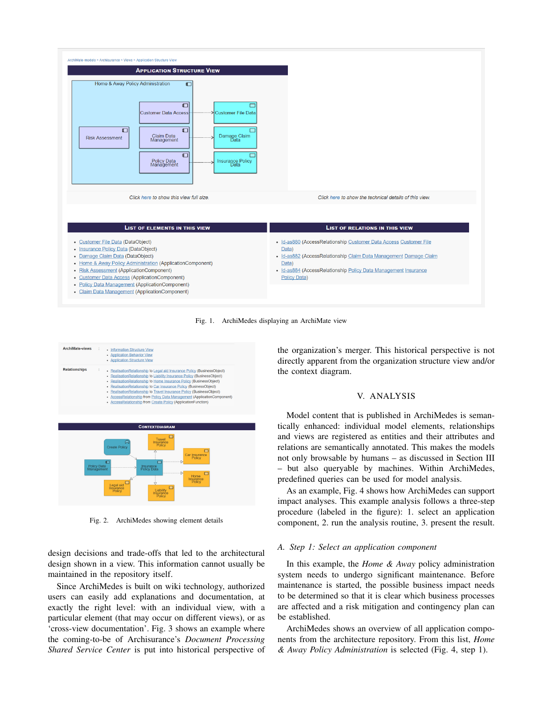

Fig. 1. ArchiMedes displaying an ArchiMate view



Fig. 2. ArchiMedes showing element details

design decisions and trade-offs that led to the architectural design shown in a view. This information cannot usually be maintained in the repository itself.

Since ArchiMedes is built on wiki technology, authorized users can easily add explanations and documentation, at exactly the right level: with an individual view, with a particular element (that may occur on different views), or as 'cross-view documentation'. Fig. 3 shows an example where the coming-to-be of Archisurance's *Document Processing Shared Service Center* is put into historical perspective of the organization's merger. This historical perspective is not directly apparent from the organization structure view and/or the context diagram.

# V. ANALYSIS

Model content that is published in ArchiMedes is semantically enhanced: individual model elements, relationships and views are registered as entities and their attributes and relations are semantically annotated. This makes the models not only browsable by humans – as discussed in Section III – but also queryable by machines. Within ArchiMedes, predefined queries can be used for model analysis.

As an example, Fig. 4 shows how ArchiMedes can support impact analyses. This example analysis follows a three-step procedure (labeled in the figure): 1. select an application component, 2. run the analysis routine, 3. present the result.

## *A. Step 1: Select an application component*

In this example, the *Home & Away* policy administration system needs to undergo significant maintenance. Before maintenance is started, the possible business impact needs to be determined so that it is clear which business processes are affected and a risk mitigation and contingency plan can be established.

ArchiMedes shows an overview of all application components from the architecture repository. From this list, *Home & Away Policy Administration* is selected (Fig. 4, step 1).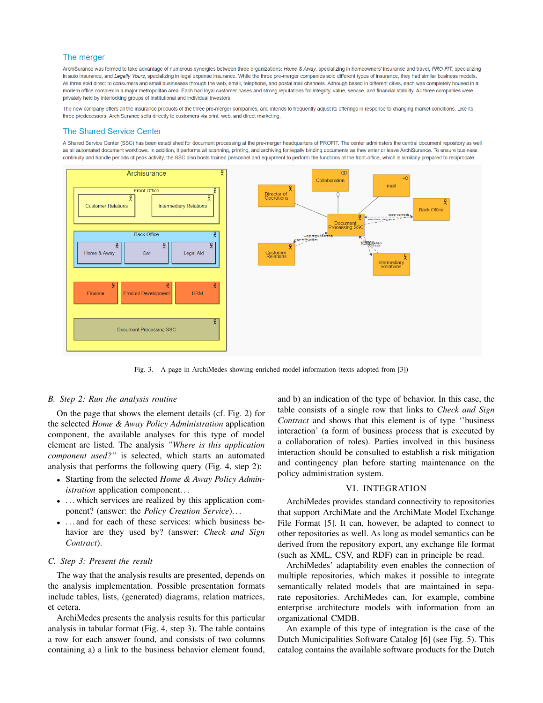#### The merger

ArchiSurance was formed to take advantage of numerous synergies between three organizations: Home & Away, specializing in homeowners' insurance and travel, PRO-FIT, specializing in auto insurance, and Legally Yours, specializing in legal expense insurance. While the three pre-merger companies sold different types of insurance, they had similar business models. All three sold direct to consumers and small businesses through the web, email, telephone, and postal mail channels. Although based in different cities, each was completely housed in a modern office complex in a major metropolitan area. Each had loyal customer bases and strong reputations for integrity, value, service, and financial stability. All three companies were privately held by interlocking groups of institutional and individual investors.

The new company offers all the insurance products of the three pre-merger companies, and intends to frequently adjust its offerings in response to changing market conditions. Like its three predecessors. ArchiSurance sells directly to customers via print, web, and direct marketing.

#### **The Shared Service Center**

A Shared Service Center (SSC) has been established for document processing at the pre-merger headquarters of PROFIT. The center administers the central document repository as well as all automated document workflows. In addition, it performs all scanning, printing, and archiving for legally binding documents as they enter or leave ArchiSurance. To ensure business continuity and handle periods of peak activity, the SSC also hosts trained personnel and equipment to perform the functions of the front-office, which is similarly prepared to reciprocate.



Fig. 3. A page in ArchiMedes showing enriched model information (texts adopted from [3])

## *B. Step 2: Run the analysis routine*

On the page that shows the element details (cf. Fig. 2) for the selected *Home & Away Policy Administration* application component, the available analyses for this type of model element are listed. The analysis *"Where is this application component used?"* is selected, which starts an automated analysis that performs the following query (Fig. 4, step 2):

- Starting from the selected *Home & Away Policy Administration* application component...
- ... which services are realized by this application component? (answer: the *Policy Creation Service*). . .
- ... and for each of these services: which business behavior are they used by? (answer: *Check and Sign Contract*).

## *C. Step 3: Present the result*

The way that the analysis results are presented, depends on the analysis implementation. Possible presentation formats include tables, lists, (generated) diagrams, relation matrices, et cetera.

ArchiMedes presents the analysis results for this particular analysis in tabular format (Fig. 4, step 3). The table contains a row for each answer found, and consists of two columns containing a) a link to the business behavior element found, and b) an indication of the type of behavior. In this case, the table consists of a single row that links to *Check and Sign Contract* and shows that this element is of type ''business interaction' (a form of business process that is executed by a collaboration of roles). Parties involved in this business interaction should be consulted to establish a risk mitigation and contingency plan before starting maintenance on the policy administration system.

## VI. INTEGRATION

ArchiMedes provides standard connectivity to repositories that support ArchiMate and the ArchiMate Model Exchange File Format [5]. It can, however, be adapted to connect to other repositories as well. As long as model semantics can be derived from the repository export, any exchange file format (such as XML, CSV, and RDF) can in principle be read.

ArchiMedes' adaptability even enables the connection of multiple repositories, which makes it possible to integrate semantically related models that are maintained in separate repositories. ArchiMedes can, for example, combine enterprise architecture models with information from an organizational CMDB.

An example of this type of integration is the case of the Dutch Municipalities Software Catalog [6] (see Fig. 5). This catalog contains the available software products for the Dutch